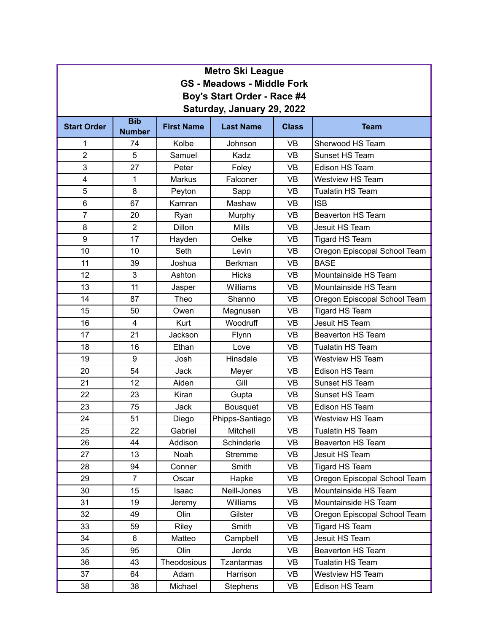| <b>Metro Ski League</b>                                   |                             |                   |                    |              |                              |  |  |
|-----------------------------------------------------------|-----------------------------|-------------------|--------------------|--------------|------------------------------|--|--|
| <b>GS - Meadows - Middle Fork</b>                         |                             |                   |                    |              |                              |  |  |
| Boy's Start Order - Race #4<br>Saturday, January 29, 2022 |                             |                   |                    |              |                              |  |  |
| <b>Start Order</b>                                        | <b>Bib</b><br><b>Number</b> | <b>First Name</b> | <b>Last Name</b>   | <b>Class</b> | <b>Team</b>                  |  |  |
| 1                                                         | 74                          | Kolbe             | Johnson            | <b>VB</b>    | Sherwood HS Team             |  |  |
| $\overline{2}$                                            | 5                           | Samuel            | Kadz               | <b>VB</b>    | Sunset HS Team               |  |  |
| 3                                                         | 27                          | Peter             | <b>VB</b><br>Foley |              | Edison HS Team               |  |  |
| 4                                                         | 1                           | <b>Markus</b>     | Falconer           | <b>VB</b>    | <b>Westview HS Team</b>      |  |  |
| 5                                                         | 8                           | Peyton            | Sapp               | <b>VB</b>    | <b>Tualatin HS Team</b>      |  |  |
| $\,6$                                                     | 67                          | Kamran            | Mashaw             | <b>VB</b>    | <b>ISB</b>                   |  |  |
| $\overline{7}$                                            | 20                          | Ryan              | Murphy             | <b>VB</b>    | <b>Beaverton HS Team</b>     |  |  |
| 8                                                         | $\overline{2}$              | <b>Dillon</b>     | <b>Mills</b>       | <b>VB</b>    | Jesuit HS Team               |  |  |
| 9                                                         | 17                          | Hayden            | Oelke              | <b>VB</b>    | <b>Tigard HS Team</b>        |  |  |
| 10                                                        | 10                          | Seth              | Levin              | VB           | Oregon Episcopal School Team |  |  |
| 11                                                        | 39                          | Joshua            | Berkman            | <b>VB</b>    | <b>BASE</b>                  |  |  |
| 12                                                        | 3                           | Ashton            | <b>Hicks</b>       | <b>VB</b>    | Mountainside HS Team         |  |  |
| 13                                                        | 11                          | Jasper            | Williams           | <b>VB</b>    | Mountainside HS Team         |  |  |
| 14                                                        | 87                          | Theo              | Shanno             | <b>VB</b>    | Oregon Episcopal School Team |  |  |
| 15                                                        | 50                          | Owen              | Magnusen           | <b>VB</b>    | <b>Tigard HS Team</b>        |  |  |
| 16                                                        | $\overline{4}$              | Kurt              | Woodruff           | <b>VB</b>    | Jesuit HS Team               |  |  |
| 17                                                        | 21                          | Jackson           | Flynn              | <b>VB</b>    | <b>Beaverton HS Team</b>     |  |  |
| 18                                                        | 16                          | Ethan             | Love               | VB           | <b>Tualatin HS Team</b>      |  |  |
| 19                                                        | $\boldsymbol{9}$            | Josh              | Hinsdale           | <b>VB</b>    | <b>Westview HS Team</b>      |  |  |
| 20                                                        | 54                          | Jack              | Meyer              | <b>VB</b>    | Edison HS Team               |  |  |
| 21                                                        | 12                          | Aiden             | Gill               | <b>VB</b>    | Sunset HS Team               |  |  |
| 22                                                        | 23                          | Kiran             | Gupta              | <b>VB</b>    | Sunset HS Team               |  |  |
| 23                                                        | 75                          | <b>Jack</b>       | <b>Bousquet</b>    | <b>VB</b>    | Edison HS Team               |  |  |
| 24                                                        | 51                          | Diego             | Phipps-Santiago    | VB           | Westview HS Team             |  |  |
| 25                                                        | 22                          | Gabriel           | Mitchell           | VB           | <b>Tualatin HS Team</b>      |  |  |
| 26                                                        | 44                          | Addison           | Schinderle         | VB           | Beaverton HS Team            |  |  |
| 27                                                        | 13                          | Noah              | Stremme            | VB           | Jesuit HS Team               |  |  |
| 28                                                        | 94                          | Conner            | Smith              | VB           | <b>Tigard HS Team</b>        |  |  |
| 29                                                        | $\overline{7}$              | Oscar             | Hapke              | VB           | Oregon Episcopal School Team |  |  |
| 30                                                        | 15                          | Isaac             | Neill-Jones        | VB           | Mountainside HS Team         |  |  |
| 31                                                        | 19                          | Jeremy            | Williams           | VB           | Mountainside HS Team         |  |  |
| 32                                                        | 49                          | Olin              | Gilster            | VB           | Oregon Episcopal School Team |  |  |
| 33                                                        | 59                          | Riley             | Smith              | VB           | Tigard HS Team               |  |  |
| 34                                                        | 6                           | Matteo            | Campbell           | VB           | Jesuit HS Team               |  |  |
| 35                                                        | 95                          | Olin              | Jerde              | VB           | <b>Beaverton HS Team</b>     |  |  |
| 36                                                        | 43                          | Theodosious       | <b>Tzantarmas</b>  | VB           | <b>Tualatin HS Team</b>      |  |  |
| 37                                                        | 64                          | Adam              | Harrison           | VB           | Westview HS Team             |  |  |
| 38                                                        | 38                          | Michael           | Stephens           | VB           | Edison HS Team               |  |  |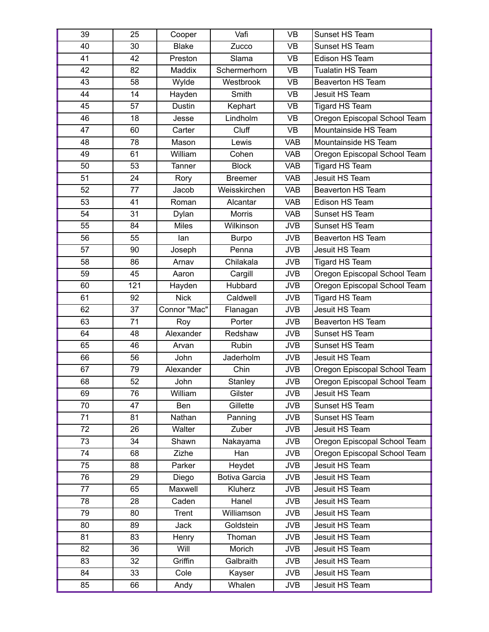| 39 | 25  | Cooper       | Vafi           | <b>VB</b>  | Sunset HS Team               |
|----|-----|--------------|----------------|------------|------------------------------|
| 40 | 30  | <b>Blake</b> | Zucco          | <b>VB</b>  | Sunset HS Team               |
| 41 | 42  | Preston      | Slama          | <b>VB</b>  | Edison HS Team               |
| 42 | 82  | Maddix       | Schermerhorn   | <b>VB</b>  | Tualatin HS Team             |
| 43 | 58  | Wylde        | Westbrook      | <b>VB</b>  | <b>Beaverton HS Team</b>     |
| 44 | 14  | Hayden       | Smith          | <b>VB</b>  | Jesuit HS Team               |
| 45 | 57  | Dustin       | Kephart        | <b>VB</b>  | <b>Tigard HS Team</b>        |
| 46 | 18  | Jesse        | Lindholm       | <b>VB</b>  | Oregon Episcopal School Team |
| 47 | 60  | Carter       | Cluff          | <b>VB</b>  | Mountainside HS Team         |
| 48 | 78  | Mason        | Lewis          | <b>VAB</b> | Mountainside HS Team         |
| 49 | 61  | William      | Cohen          | <b>VAB</b> | Oregon Episcopal School Team |
| 50 | 53  | Tanner       | <b>Block</b>   | <b>VAB</b> | <b>Tigard HS Team</b>        |
| 51 | 24  | Rory         | <b>Breemer</b> | <b>VAB</b> | Jesuit HS Team               |
| 52 | 77  | Jacob        | Weisskirchen   | <b>VAB</b> | <b>Beaverton HS Team</b>     |
| 53 | 41  | Roman        | Alcantar       | <b>VAB</b> | Edison HS Team               |
| 54 | 31  | Dylan        | <b>Morris</b>  | <b>VAB</b> | Sunset HS Team               |
| 55 | 84  | <b>Miles</b> | Wilkinson      | <b>JVB</b> | Sunset HS Team               |
| 56 | 55  | lan          | <b>Burpo</b>   | <b>JVB</b> | <b>Beaverton HS Team</b>     |
| 57 | 90  | Joseph       | Penna          | <b>JVB</b> | Jesuit HS Team               |
| 58 | 86  | Arnav        | Chilakala      | <b>JVB</b> | <b>Tigard HS Team</b>        |
| 59 | 45  | Aaron        | Cargill        | <b>JVB</b> | Oregon Episcopal School Team |
| 60 | 121 | Hayden       | Hubbard        | <b>JVB</b> | Oregon Episcopal School Team |
| 61 | 92  | <b>Nick</b>  | Caldwell       | <b>JVB</b> | <b>Tigard HS Team</b>        |
| 62 | 37  | Connor "Mac" | Flanagan       | <b>JVB</b> | Jesuit HS Team               |
| 63 | 71  | Roy          | Porter         | <b>JVB</b> | <b>Beaverton HS Team</b>     |
| 64 | 48  | Alexander    | Redshaw        | <b>JVB</b> | Sunset HS Team               |
| 65 | 46  | Arvan        | Rubin          | <b>JVB</b> | Sunset HS Team               |
| 66 | 56  | John         | Jaderholm      | <b>JVB</b> | Jesuit HS Team               |
| 67 | 79  | Alexander    | Chin           | <b>JVB</b> | Oregon Episcopal School Team |
| 68 | 52  | John         | Stanley        | <b>JVB</b> | Oregon Episcopal School Team |
| 69 | 76  | William      | Gilster        | <b>JVB</b> | Jesuit HS Team               |
| 70 | 47  | Ben          | Gillette       | <b>JVB</b> | Sunset HS Team               |
| 71 | 81  | Nathan       | Panning        | <b>JVB</b> | Sunset HS Team               |
| 72 | 26  | Walter       | Zuber          | <b>JVB</b> | Jesuit HS Team               |
| 73 | 34  | Shawn        | Nakayama       | <b>JVB</b> | Oregon Episcopal School Team |
| 74 | 68  | Zizhe        | Han            | <b>JVB</b> | Oregon Episcopal School Team |
| 75 | 88  | Parker       | Heydet         | <b>JVB</b> | Jesuit HS Team               |
| 76 | 29  | Diego        | Botiva Garcia  | <b>JVB</b> | Jesuit HS Team               |
| 77 | 65  | Maxwell      | Kluherz        | <b>JVB</b> | Jesuit HS Team               |
| 78 | 28  | Caden        | Hanel          | <b>JVB</b> | Jesuit HS Team               |
| 79 | 80  | Trent        | Williamson     | <b>JVB</b> | Jesuit HS Team               |
| 80 | 89  | Jack         | Goldstein      | <b>JVB</b> | Jesuit HS Team               |
| 81 | 83  | Henry        | Thoman         | <b>JVB</b> | Jesuit HS Team               |
| 82 | 36  | Will         | Morich         | <b>JVB</b> | Jesuit HS Team               |
| 83 | 32  | Griffin      | Galbraith      | <b>JVB</b> | Jesuit HS Team               |
| 84 | 33  | Cole         | Kayser         | <b>JVB</b> | Jesuit HS Team               |
| 85 | 66  | Andy         | Whalen         | <b>JVB</b> | Jesuit HS Team               |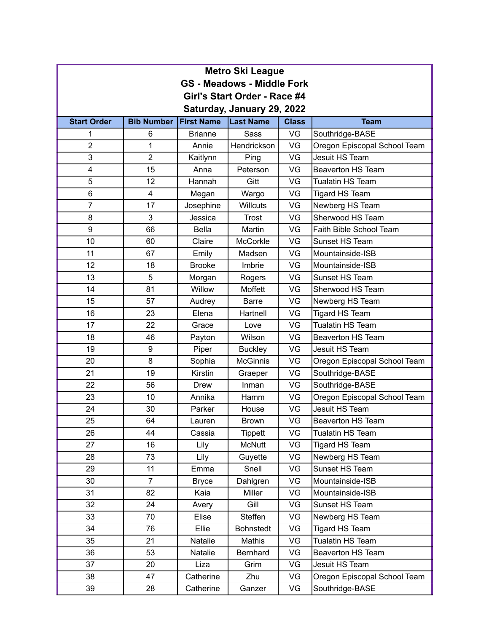| <b>Metro Ski League</b>           |                   |                   |                  |              |                              |  |  |
|-----------------------------------|-------------------|-------------------|------------------|--------------|------------------------------|--|--|
| <b>GS - Meadows - Middle Fork</b> |                   |                   |                  |              |                              |  |  |
| Girl's Start Order - Race #4      |                   |                   |                  |              |                              |  |  |
| Saturday, January 29, 2022        |                   |                   |                  |              |                              |  |  |
| <b>Start Order</b>                | <b>Bib Number</b> | <b>First Name</b> | <b>Last Name</b> | <b>Class</b> | <b>Team</b>                  |  |  |
| 1                                 | 6                 | <b>Brianne</b>    | Sass             | VG           | Southridge-BASE              |  |  |
| $\overline{2}$                    | 1                 | Annie             | Hendrickson      | VG           | Oregon Episcopal School Team |  |  |
| 3                                 | $\overline{2}$    | Kaitlynn          | Ping             | VG           | Jesuit HS Team               |  |  |
| 4                                 | 15                | Anna              | Peterson         | VG           | <b>Beaverton HS Team</b>     |  |  |
| 5                                 | 12                | Hannah            | Gitt             | VG           | <b>Tualatin HS Team</b>      |  |  |
| 6                                 | 4                 | Megan             | Wargo            | VG           | <b>Tigard HS Team</b>        |  |  |
| $\overline{7}$                    | 17                | Josephine         | <b>Willcuts</b>  | VG           | Newberg HS Team              |  |  |
| 8                                 | 3                 | Jessica           | <b>Trost</b>     | VG           | Sherwood HS Team             |  |  |
| 9                                 | 66                | <b>Bella</b>      | Martin           | VG           | Faith Bible School Team      |  |  |
| 10                                | 60                | Claire            | <b>McCorkle</b>  | VG           | Sunset HS Team               |  |  |
| 11                                | 67                | Emily             | Madsen           | VG           | Mountainside-ISB             |  |  |
| 12                                | 18                | <b>Brooke</b>     | Imbrie           | VG           | Mountainside-ISB             |  |  |
| 13                                | 5                 | Morgan            | Rogers           | VG           | Sunset HS Team               |  |  |
| 14                                | 81                | Willow            | Moffett          | VG           | Sherwood HS Team             |  |  |
| 15                                | 57                | Audrey            | <b>Barre</b>     | VG           | Newberg HS Team              |  |  |
| 16                                | 23                | Elena             | Hartnell         | VG           | Tigard HS Team               |  |  |
| 17                                | 22                | Grace             | Love             | VG           | <b>Tualatin HS Team</b>      |  |  |
| 18                                | 46                | Payton            | Wilson           | VG           | <b>Beaverton HS Team</b>     |  |  |
| 19                                | 9                 | Piper             | <b>Buckley</b>   | VG           | Jesuit HS Team               |  |  |
| 20                                | 8                 | Sophia            | <b>McGinnis</b>  | VG           | Oregon Episcopal School Team |  |  |
| 21                                | 19                | Kirstin           | Graeper          | VG           | Southridge-BASE              |  |  |
| 22                                | 56                | <b>Drew</b>       | Inman            | VG           | Southridge-BASE              |  |  |
| 23                                | 10                | Annika            | Hamm             | VG           | Oregon Episcopal School Team |  |  |
| 24                                | 30                | Parker            | House            | VG           | Jesuit HS Team               |  |  |
| 25                                | 64                | Lauren            | <b>Brown</b>     | VG           | Beaverton HS Team            |  |  |
| 26                                | 44                | Cassia            | <b>Tippett</b>   | VG           | Tualatin HS Team             |  |  |
| 27                                | 16                | Lily              | <b>McNutt</b>    | VG           | Tigard HS Team               |  |  |
| 28                                | 73                | Lily              | Guyette          | VG           | Newberg HS Team              |  |  |
| 29                                | 11                | Emma              | Snell            | VG           | Sunset HS Team               |  |  |
| 30                                | $\overline{7}$    | <b>Bryce</b>      | Dahlgren         | VG           | Mountainside-ISB             |  |  |
| 31                                | 82                | Kaia              | <b>Miller</b>    | VG           | Mountainside-ISB             |  |  |
| 32                                | 24                | Avery             | Gill             | VG           | Sunset HS Team               |  |  |
| 33                                | 70                | Elise             | Steffen          | VG           | Newberg HS Team              |  |  |
| 34                                | 76                | Ellie             | <b>Bohnstedt</b> | VG           | Tigard HS Team               |  |  |
| 35                                | 21                | Natalie           | Mathis           | VG           | Tualatin HS Team             |  |  |
| 36                                | 53                | Natalie           | Bernhard         | VG           | Beaverton HS Team            |  |  |
| 37                                | 20                | Liza              | Grim             | VG           | Jesuit HS Team               |  |  |
| 38                                | 47                | Catherine         | Zhu              | VG           | Oregon Episcopal School Team |  |  |
| 39                                | 28                | Catherine         | Ganzer           | VG           | Southridge-BASE              |  |  |